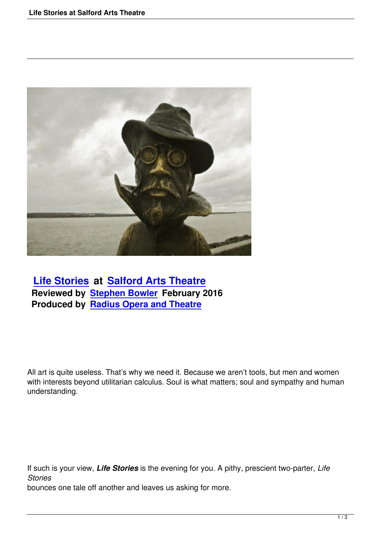

## **Life Stories at Salford Arts Theatre Reviewed by Stephen Bowler February 2016 [Produced by](life-stories-salford-arts-theatre.html) Rad[ius Opera and Theatre](http://www.salfordartstheatre.com/)**

All art is quite useless. That's why we need it. Because we aren't tools, but men and women with interests beyond utilitarian calculus. Soul is what matters; soul and sympathy and human understanding.

If such is your view, *Life Stories* is the evening for you. A pithy, prescient two-parter, *Life Stories*

bounces one tale off another and leaves us asking for more.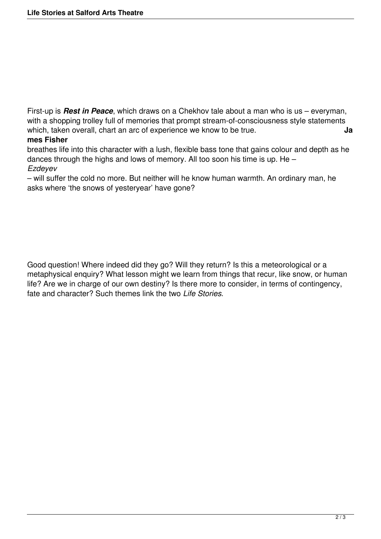First-up is *Rest in Peace*, which draws on a Chekhov tale about a man who is us – everyman, with a shopping trolley full of memories that prompt stream-of-consciousness style statements which, taken overall, chart an arc of experience we know to be true.

## **mes Fisher**

breathes life into this character with a lush, flexible bass tone that gains colour and depth as he dances through the highs and lows of memory. All too soon his time is up. He – *Ezdeyev*

– will suffer the cold no more. But neither will he know human warmth. An ordinary man, he asks where 'the snows of yesteryear' have gone?

Good question! Where indeed did they go? Will they return? Is this a meteorological or a metaphysical enquiry? What lesson might we learn from things that recur, like snow, or human life? Are we in charge of our own destiny? Is there more to consider, in terms of contingency, fate and character? Such themes link the two *Life Stories*.